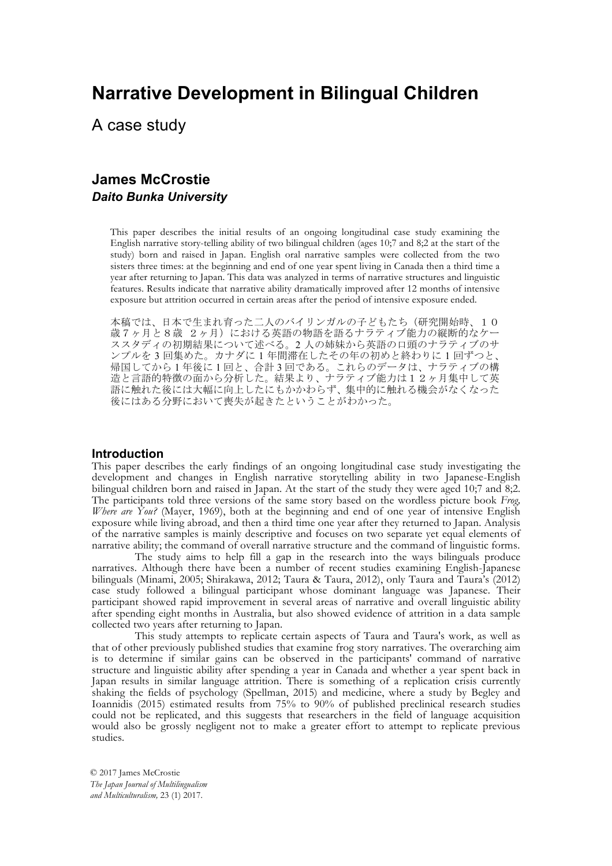# **Narrative Development in Bilingual Children**

A case study

## **James McCrostie** *Daito Bunka University*

This paper describes the initial results of an ongoing longitudinal case study examining the English narrative story-telling ability of two bilingual children (ages 10;7 and 8;2 at the start of the study) born and raised in Japan. English oral narrative samples were collected from the two sisters three times: at the beginning and end of one year spent living in Canada then a third time a year after returning to Japan. This data was analyzed in terms of narrative structures and linguistic features. Results indicate that narrative ability dramatically improved after 12 months of intensive exposure but attrition occurred in certain areas after the period of intensive exposure ended.

本稿では、日本で生まれ育った二人のバイリンガルの子どもたち(研究開始時、10 歳7ヶ月と8歳 2ヶ月)における英語の物語を語るナラティブ能力の縦断的なケー ススタディの初期結果について述べる。2 人の姉妹から英語の口頭のナラティブのサ ンプルを 3 回集めた。カナダに 1 年間滞在したその年の初めと終わりに 1 回ずつと、 帰国してから 1 年後に 1 回と、合計 3 回である。これらのデータは、ナラティブの構 · 造と言語的特徴の面から分析した。結果より、ナラティブ能力は12ヶ月集中して英 語に触れた後には大幅に向上したにもかかわらず、集中的に触れる機会がなくなった 後にはある分野において喪失が起きたということがわかった。

## **Introduction**

This paper describes the early findings of an ongoing longitudinal case study investigating the development and changes in English narrative storytelling ability in two Japanese-English bilingual children born and raised in Japan. At the start of the study they were aged 10;7 and 8;2. The participants told three versions of the same story based on the wordless picture book *Frog, Where are You?* (Mayer, 1969), both at the beginning and end of one year of intensive English exposure while living abroad, and then a third time one year after they returned to Japan. Analysis of the narrative samples is mainly descriptive and focuses on two separate yet equal elements of narrative ability; the command of overall narrative structure and the command of linguistic forms.

The study aims to help fill a gap in the research into the ways bilinguals produce narratives. Although there have been a number of recent studies examining English-Japanese bilinguals (Minami, 2005; Shirakawa, 2012; Taura & Taura, 2012), only Taura and Taura's (2012) case study followed a bilingual participant whose dominant language was Japanese. Their participant showed rapid improvement in several areas of narrative and overall linguistic ability after spending eight months in Australia, but also showed evidence of attrition in a data sample collected two years after returning to Japan.

This study attempts to replicate certain aspects of Taura and Taura's work, as well as that of other previously published studies that examine frog story narratives. The overarching aim is to determine if similar gains can be observed in the participants' command of narrative structure and linguistic ability after spending a year in Canada and whether a year spent back in Japan results in similar language attrition. There is something of a replication crisis currently shaking the fields of psychology (Spellman, 2015) and medicine, where a study by Begley and Ioannidis (2015) estimated results from 75% to 90% of published preclinical research studies could not be replicated, and this suggests that researchers in the field of language acquisition would also be grossly negligent not to make a greater effort to attempt to replicate previous studies.

© 2017 James McCrostie *The Japan Journal of Multilingualism and Multiculturalism,* 23 (1) 2017.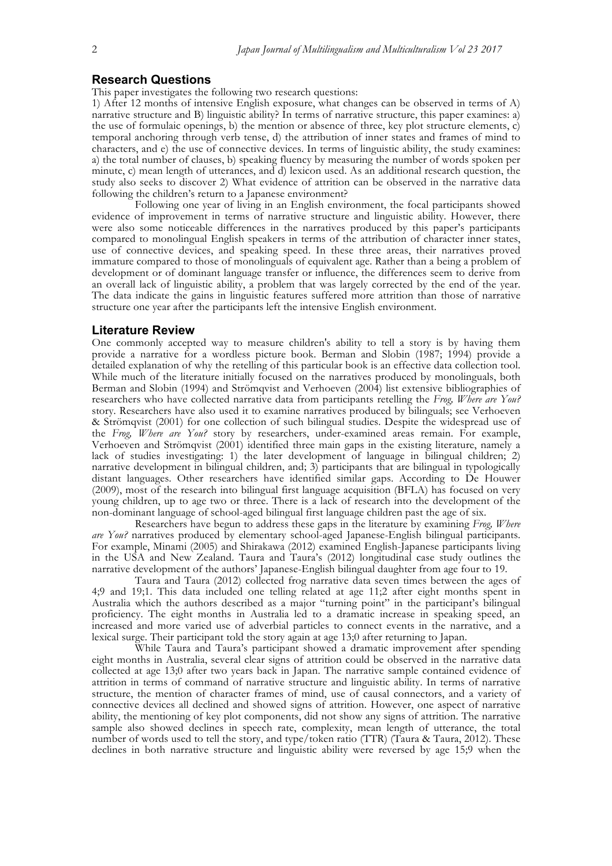## **Research Questions**

This paper investigates the following two research questions:

1) After 12 months of intensive English exposure, what changes can be observed in terms of A) narrative structure and B) linguistic ability? In terms of narrative structure, this paper examines: a) the use of formulaic openings, b) the mention or absence of three, key plot structure elements, c) temporal anchoring through verb tense, d) the attribution of inner states and frames of mind to characters, and e) the use of connective devices. In terms of linguistic ability, the study examines: a) the total number of clauses, b) speaking fluency by measuring the number of words spoken per minute, c) mean length of utterances, and d) lexicon used. As an additional research question, the study also seeks to discover 2) What evidence of attrition can be observed in the narrative data following the children's return to a Japanese environment?

Following one year of living in an English environment, the focal participants showed evidence of improvement in terms of narrative structure and linguistic ability. However, there were also some noticeable differences in the narratives produced by this paper's participants compared to monolingual English speakers in terms of the attribution of character inner states, use of connective devices, and speaking speed. In these three areas, their narratives proved immature compared to those of monolinguals of equivalent age. Rather than a being a problem of development or of dominant language transfer or influence, the differences seem to derive from an overall lack of linguistic ability, a problem that was largely corrected by the end of the year. The data indicate the gains in linguistic features suffered more attrition than those of narrative structure one year after the participants left the intensive English environment.

## **Literature Review**

One commonly accepted way to measure children's ability to tell a story is by having them provide a narrative for a wordless picture book. Berman and Slobin (1987; 1994) provide a detailed explanation of why the retelling of this particular book is an effective data collection tool. While much of the literature initially focused on the narratives produced by monolinguals, both Berman and Slobin (1994) and Strömqvist and Verhoeven (2004) list extensive bibliographies of researchers who have collected narrative data from participants retelling the *Frog, Where are You?* story. Researchers have also used it to examine narratives produced by bilinguals; see Verhoeven & Strömqvist (2001) for one collection of such bilingual studies. Despite the widespread use of the *Frog, Where are You?* story by researchers, under-examined areas remain. For example, Verhoeven and Strömqvist (2001) identified three main gaps in the existing literature, namely a lack of studies investigating: 1) the later development of language in bilingual children; 2) narrative development in bilingual children, and; 3) participants that are bilingual in typologically distant languages. Other researchers have identified similar gaps. According to De Houwer (2009), most of the research into bilingual first language acquisition (BFLA) has focused on very young children, up to age two or three. There is a lack of research into the development of the non-dominant language of school-aged bilingual first language children past the age of six.

Researchers have begun to address these gaps in the literature by examining *Frog, Where are You?* narratives produced by elementary school-aged Japanese-English bilingual participants. For example, Minami (2005) and Shirakawa (2012) examined English-Japanese participants living in the USA and New Zealand. Taura and Taura's (2012) longitudinal case study outlines the narrative development of the authors' Japanese-English bilingual daughter from age four to 19.

Taura and Taura (2012) collected frog narrative data seven times between the ages of 4;9 and 19;1. This data included one telling related at age 11;2 after eight months spent in Australia which the authors described as a major "turning point" in the participant's bilingual proficiency. The eight months in Australia led to a dramatic increase in speaking speed, an increased and more varied use of adverbial particles to connect events in the narrative, and a lexical surge. Their participant told the story again at age 13;0 after returning to Japan.

While Taura and Taura's participant showed a dramatic improvement after spending eight months in Australia, several clear signs of attrition could be observed in the narrative data collected at age 13;0 after two years back in Japan. The narrative sample contained evidence of attrition in terms of command of narrative structure and linguistic ability. In terms of narrative structure, the mention of character frames of mind, use of causal connectors, and a variety of connective devices all declined and showed signs of attrition. However, one aspect of narrative ability, the mentioning of key plot components, did not show any signs of attrition. The narrative sample also showed declines in speech rate, complexity, mean length of utterance, the total number of words used to tell the story, and type/token ratio (TTR) (Taura & Taura, 2012). These declines in both narrative structure and linguistic ability were reversed by age 15;9 when the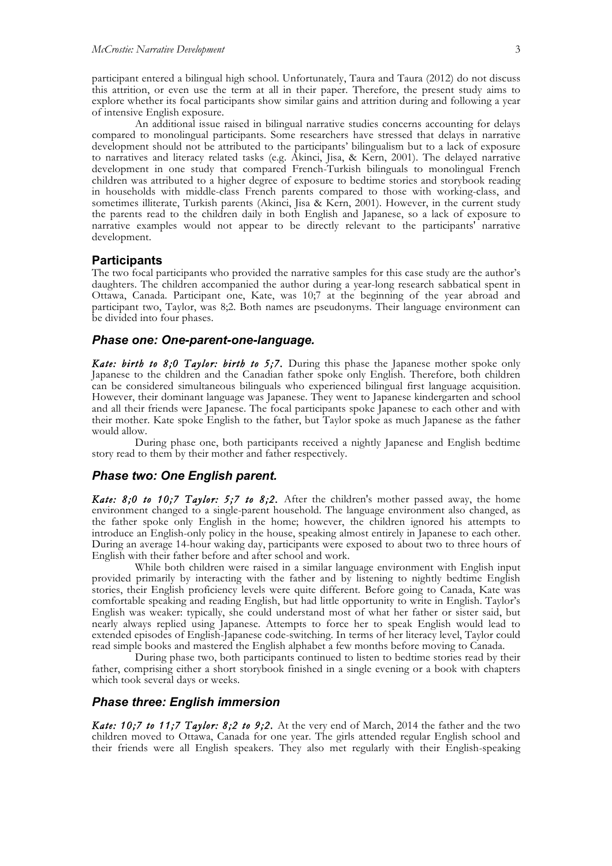participant entered a bilingual high school. Unfortunately, Taura and Taura (2012) do not discuss this attrition, or even use the term at all in their paper. Therefore, the present study aims to explore whether its focal participants show similar gains and attrition during and following a year of intensive English exposure.

An additional issue raised in bilingual narrative studies concerns accounting for delays compared to monolingual participants. Some researchers have stressed that delays in narrative development should not be attributed to the participants' bilingualism but to a lack of exposure to narratives and literacy related tasks (e.g. Akinci, Jisa, & Kern, 2001). The delayed narrative development in one study that compared French-Turkish bilinguals to monolingual French children was attributed to a higher degree of exposure to bedtime stories and storybook reading in households with middle-class French parents compared to those with working-class, and sometimes illiterate, Turkish parents (Akinci, Jisa & Kern, 2001). However, in the current study the parents read to the children daily in both English and Japanese, so a lack of exposure to narrative examples would not appear to be directly relevant to the participants' narrative development.

## **Participants**

The two focal participants who provided the narrative samples for this case study are the author's daughters. The children accompanied the author during a year-long research sabbatical spent in Ottawa, Canada. Participant one, Kate, was 10;7 at the beginning of the year abroad and participant two, Taylor, was 8;2. Both names are pseudonyms. Their language environment can be divided into four phases.

## *Phase one: One-parent-one-language.*

**Kate: birth to 8;0 Taylor: birth to 5;7.** During this phase the Japanese mother spoke only Japanese to the children and the Canadian father spoke only English. Therefore, both children can be considered simultaneous bilinguals who experienced bilingual first language acquisition. However, their dominant language was Japanese. They went to Japanese kindergarten and school and all their friends were Japanese. The focal participants spoke Japanese to each other and with their mother. Kate spoke English to the father, but Taylor spoke as much Japanese as the father would allow.

During phase one, both participants received a nightly Japanese and English bedtime story read to them by their mother and father respectively.

#### *Phase two: One English parent.*

*Kate: 8;0 to 10;7 Taylor: 5;7 to 8;2.* After the children's mother passed away, the home environment changed to a single-parent household. The language environment also changed, as the father spoke only English in the home; however, the children ignored his attempts to introduce an English-only policy in the house, speaking almost entirely in Japanese to each other. During an average 14-hour waking day, participants were exposed to about two to three hours of English with their father before and after school and work.

While both children were raised in a similar language environment with English input provided primarily by interacting with the father and by listening to nightly bedtime English stories, their English proficiency levels were quite different. Before going to Canada, Kate was comfortable speaking and reading English, but had little opportunity to write in English. Taylor's English was weaker: typically, she could understand most of what her father or sister said, but nearly always replied using Japanese. Attempts to force her to speak English would lead to extended episodes of English-Japanese code-switching. In terms of her literacy level, Taylor could read simple books and mastered the English alphabet a few months before moving to Canada.

During phase two, both participants continued to listen to bedtime stories read by their father, comprising either a short storybook finished in a single evening or a book with chapters which took several days or weeks.

## *Phase three: English immersion*

*Kate: 10;7 to 11;7 Taylor: 8;2 to 9;2.* At the very end of March, 2014 the father and the two children moved to Ottawa, Canada for one year. The girls attended regular English school and their friends were all English speakers. They also met regularly with their English-speaking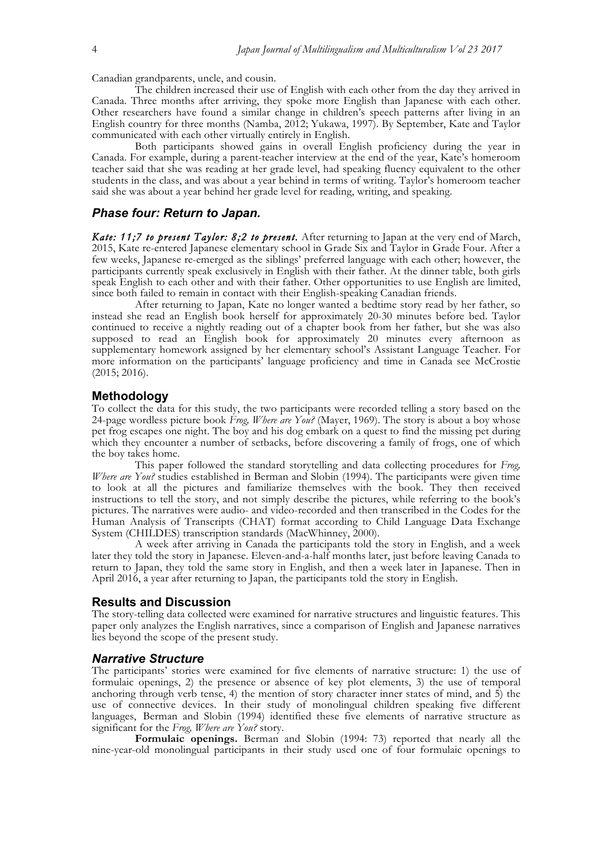Canadian grandparents, uncle, and cousin.The children increased their use of English with each other from the day they arrived in Canada. Three months after arriving, they spoke more English than Japanese with each other. Other researchers have found a similar change in children's speech patterns after living in an English country for three months (Namba, 2012; Yukawa, 1997). By September, Kate and Taylor communicated with each other virtually entirely in English.

Both participants showed gains in overall English proficiency during the year in Canada. For example, during a parent-teacher interview at the end of the year, Kate's homeroom teacher said that she was reading at her grade level, had speaking fluency equivalent to the other students in the class, and was about a year behind in terms of writing. Taylor's homeroom teacher said she was about a year behind her grade level for reading, writing, and speaking.

## *Phase four: Return to Japan.*

*Kate: 11;7 to present Taylor: 8;2 to present.* After returning to Japan at the very end of March, 2015, Kate re-entered Japanese elementary school in Grade Six and Taylor in Grade Four. After a few weeks, Japanese re-emerged as the siblings' preferred language with each other; however, the participants currently speak exclusively in English with their father. At the dinner table, both girls speak English to each other and with their father. Other opportunities to use English are limited, since both failed to remain in contact with their English-speaking Canadian friends.

After returning to Japan, Kate no longer wanted a bedtime story read by her father, so instead she read an English book herself for approximately 20-30 minutes before bed. Taylor continued to receive a nightly reading out of a chapter book from her father, but she was also supposed to read an English book for approximately 20 minutes every afternoon as supplementary homework assigned by her elementary school's Assistant Language Teacher. For more information on the participants' language proficiency and time in Canada see McCrostie (2015; 2016).

#### **Methodology**

To collect the data for this study, the two participants were recorded telling a story based on the 24-page wordless picture book *Frog, Where are You?* (Mayer, 1969). The story is about a boy whose pet frog escapes one night. The boy and his dog embark on a quest to find the missing pet during which they encounter a number of setbacks, before discovering a family of frogs, one of which the boy takes home.

This paper followed the standard storytelling and data collecting procedures for *Frog, Where are You?* studies established in Berman and Slobin (1994). The participants were given time to look at all the pictures and familiarize themselves with the book. They then received instructions to tell the story, and not simply describe the pictures, while referring to the book's pictures. The narratives were audio- and video-recorded and then transcribed in the Codes for the Human Analysis of Transcripts (CHAT) format according to Child Language Data Exchange System (CHILDES) transcription standards (MacWhinney, 2000).

A week after arriving in Canada the participants told the story in English, and a week later they told the story in Japanese. Eleven-and-a-half months later, just before leaving Canada to return to Japan, they told the same story in English, and then a week later in Japanese. Then in April 2016, a year after returning to Japan, the participants told the story in English.

#### **Results and Discussion**

The story-telling data collected were examined for narrative structures and linguistic features. This paper only analyzes the English narratives, since a comparison of English and Japanese narratives lies beyond the scope of the present study.

## *Narrative Structure*

The participants' stories were examined for five elements of narrative structure: 1) the use of formulaic openings, 2) the presence or absence of key plot elements, 3) the use of temporal anchoring through verb tense, 4) the mention of story character inner states of mind, and 5) the use of connective devices. In their study of monolingual children speaking five different languages, Berman and Slobin (1994) identified these five elements of narrative structure as significant for the *Frog, Where are You?* story.

**Formulaic openings.** Berman and Slobin (1994: 73) reported that nearly all the nine-year-old monolingual participants in their study used one of four formulaic openings to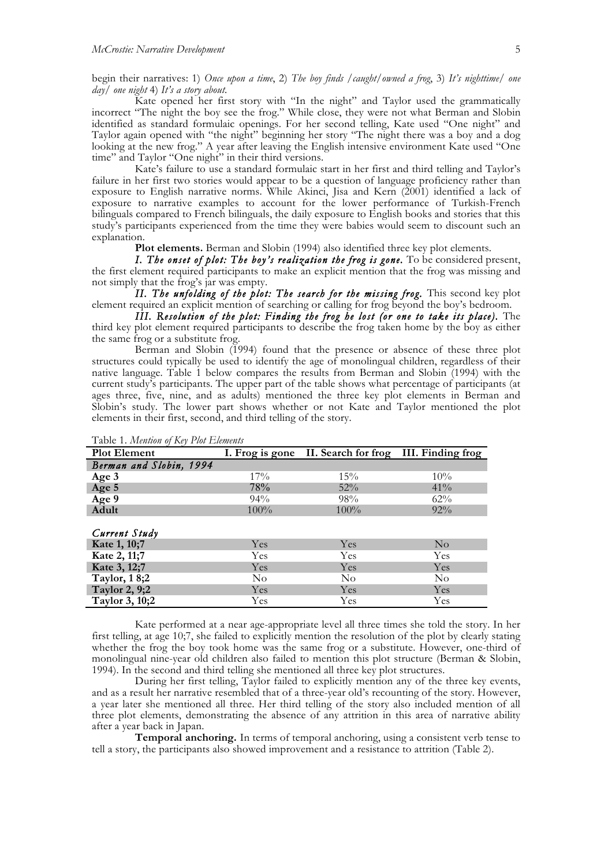begin their narratives: 1) *Once upon a time*, 2) *The boy finds /caught/owned a frog*, 3) *It's nighttime/ one day/ one night* 4) *It's a story about*.

Kate opened her first story with "In the night" and Taylor used the grammatically incorrect "The night the boy see the frog." While close, they were not what Berman and Slobin identified as standard formulaic openings. For her second telling, Kate used "One night" and Taylor again opened with "the night" beginning her story "The night there was a boy and a dog looking at the new frog." A year after leaving the English intensive environment Kate used "One time" and Taylor "One night" in their third versions.

Kate's failure to use a standard formulaic start in her first and third telling and Taylor's failure in her first two stories would appear to be a question of language proficiency rather than exposure to English narrative norms. While Akinci, Jisa and Kern (2001) identified a lack of exposure to narrative examples to account for the lower performance of Turkish-French bilinguals compared to French bilinguals, the daily exposure to English books and stories that this study's participants experienced from the time they were babies would seem to discount such an explanation.

**Plot elements.** Berman and Slobin (1994) also identified three key plot elements.

 *I. The onset of plot: The boy's realization the frog is gone.* To be considered present, the first element required participants to make an explicit mention that the frog was missing and not simply that the frog's jar was empty.

 *II. The unfolding of the plot: The search for the missing frog.* This second key plot element required an explicit mention of searching or calling for frog beyond the boy's bedroom.

 *III. Resolution of the plot: Finding the frog he lost (or one to take its place).* The third key plot element required participants to describe the frog taken home by the boy as either the same frog or a substitute frog.

Berman and Slobin (1994) found that the presence or absence of these three plot structures could typically be used to identify the age of monolingual children, regardless of their native language. Table 1 below compares the results from Berman and Slobin (1994) with the current study's participants. The upper part of the table shows what percentage of participants (at ages three, five, nine, and as adults) mentioned the three key plot elements in Berman and Slobin's study. The lower part shows whether or not Kate and Taylor mentioned the plot elements in their first, second, and third telling of the story.

| <b>Plot Element</b>     |          | I. Frog is gone II. Search for frog III. Finding frog |                |  |
|-------------------------|----------|-------------------------------------------------------|----------------|--|
| Berman and Slobin, 1994 |          |                                                       |                |  |
| Age 3                   | $17\%$   | 15%                                                   | $10\%$         |  |
| Age 5                   | 78%      | 52%                                                   | $41\%$         |  |
| Age 9                   | 94%      | 98%                                                   | 62%            |  |
| Adult                   | 100%     | 100%                                                  | $92\%$         |  |
| Current Study           |          |                                                       |                |  |
| Kate 1, 10;7            | Yes      | Yes                                                   | $\rm No$       |  |
| Kate 2, 11;7            | Yes      | Yes                                                   | Yes            |  |
| Kate 3, 12;7            | Yes      | Yes                                                   | Yes            |  |
| Taylor, 18;2            | $\rm No$ | N <sub>o</sub>                                        | N <sub>o</sub> |  |
| Taylor 2, 9;2           | Yes      | Yes                                                   | Yes            |  |
| Taylor 3, 10;2          | Yes      | Yes                                                   | Yes            |  |

Table 1. *Mention of Key Plot Elements*

Kate performed at a near age-appropriate level all three times she told the story. In her first telling, at age 10;7, she failed to explicitly mention the resolution of the plot by clearly stating whether the frog the boy took home was the same frog or a substitute. However, one-third of monolingual nine-year old children also failed to mention this plot structure (Berman & Slobin, 1994). In the second and third telling she mentioned all three key plot structures.

During her first telling, Taylor failed to explicitly mention any of the three key events, and as a result her narrative resembled that of a three-year old's recounting of the story. However, a year later she mentioned all three. Her third telling of the story also included mention of all three plot elements, demonstrating the absence of any attrition in this area of narrative ability after a year back in Japan.

**Temporal anchoring.** In terms of temporal anchoring, using a consistent verb tense to tell a story, the participants also showed improvement and a resistance to attrition (Table 2).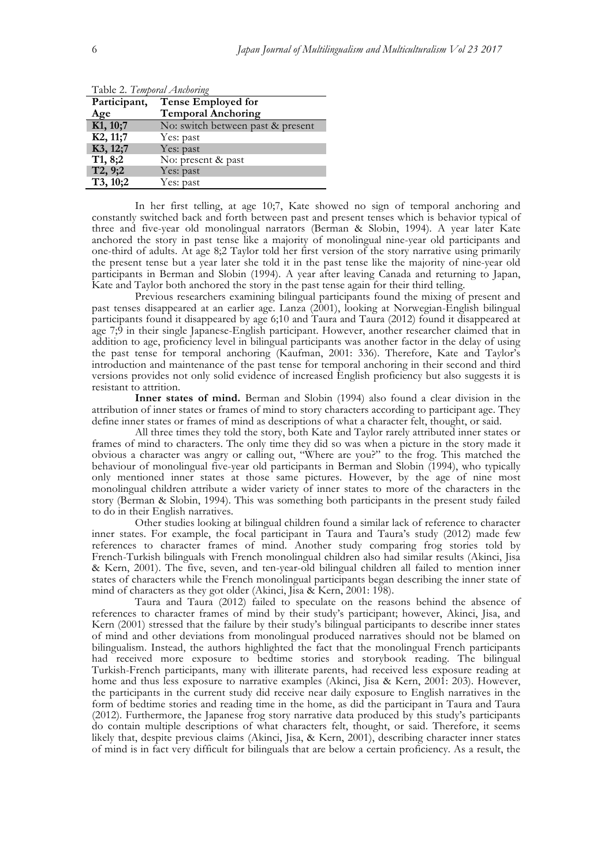| Participant,          | <b>Tense Employed for</b>         |
|-----------------------|-----------------------------------|
| Age                   | <b>Temporal Anchoring</b>         |
| K <sub>1</sub> , 10;7 | No: switch between past & present |
| K2, 11;7              | Yes: past                         |
| K3, 12;7              | Yes: past                         |
| T1, 8;2               | No: present & past                |
| T2, 9;2               | Yes: past                         |
| T3, 10;2              | Yes: past                         |

Table 2. *Temporal Anchoring*

In her first telling, at age 10;7, Kate showed no sign of temporal anchoring and constantly switched back and forth between past and present tenses which is behavior typical of three and five-year old monolingual narrators (Berman & Slobin, 1994). A year later Kate anchored the story in past tense like a majority of monolingual nine-year old participants and one-third of adults. At age 8;2 Taylor told her first version of the story narrative using primarily the present tense but a year later she told it in the past tense like the majority of nine-year old participants in Berman and Slobin (1994). A year after leaving Canada and returning to Japan, Kate and Taylor both anchored the story in the past tense again for their third telling.

Previous researchers examining bilingual participants found the mixing of present and past tenses disappeared at an earlier age. Lanza (2001), looking at Norwegian-English bilingual participants found it disappeared by age 6;10 and Taura and Taura (2012) found it disappeared at age 7;9 in their single Japanese-English participant. However, another researcher claimed that in addition to age, proficiency level in bilingual participants was another factor in the delay of using the past tense for temporal anchoring (Kaufman, 2001: 336). Therefore, Kate and Taylor's introduction and maintenance of the past tense for temporal anchoring in their second and third versions provides not only solid evidence of increased English proficiency but also suggests it is resistant to attrition.

**Inner states of mind.** Berman and Slobin (1994) also found a clear division in the attribution of inner states or frames of mind to story characters according to participant age. They define inner states or frames of mind as descriptions of what a character felt, thought, or said.

All three times they told the story, both Kate and Taylor rarely attributed inner states or frames of mind to characters. The only time they did so was when a picture in the story made it obvious a character was angry or calling out, "Where are you?" to the frog. This matched the behaviour of monolingual five-year old participants in Berman and Slobin (1994), who typically only mentioned inner states at those same pictures. However, by the age of nine most monolingual children attribute a wider variety of inner states to more of the characters in the story (Berman & Slobin, 1994). This was something both participants in the present study failed to do in their English narratives.

Other studies looking at bilingual children found a similar lack of reference to character inner states. For example, the focal participant in Taura and Taura's study (2012) made few references to character frames of mind. Another study comparing frog stories told by French-Turkish bilinguals with French monolingual children also had similar results (Akinci, Jisa & Kern, 2001). The five, seven, and ten-year-old bilingual children all failed to mention inner states of characters while the French monolingual participants began describing the inner state of mind of characters as they got older (Akinci, Jisa & Kern, 2001: 198).

Taura and Taura (2012) failed to speculate on the reasons behind the absence of references to character frames of mind by their study's participant; however, Akinci, Jisa, and Kern (2001) stressed that the failure by their study's bilingual participants to describe inner states of mind and other deviations from monolingual produced narratives should not be blamed on bilingualism. Instead, the authors highlighted the fact that the monolingual French participants had received more exposure to bedtime stories and storybook reading. The bilingual Turkish-French participants, many with illiterate parents, had received less exposure reading at home and thus less exposure to narrative examples (Akinci, Jisa & Kern, 2001: 203). However, the participants in the current study did receive near daily exposure to English narratives in the form of bedtime stories and reading time in the home, as did the participant in Taura and Taura (2012). Furthermore, the Japanese frog story narrative data produced by this study's participants do contain multiple descriptions of what characters felt, thought, or said. Therefore, it seems likely that, despite previous claims (Akinci, Jisa, & Kern, 2001), describing character inner states of mind is in fact very difficult for bilinguals that are below a certain proficiency. As a result, the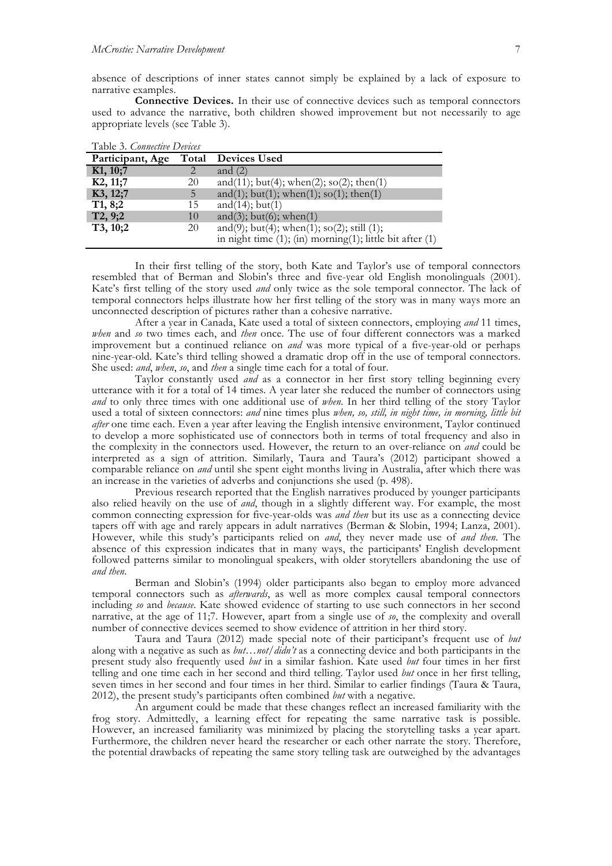absence of descriptions of inner states cannot simply be explained by a lack of exposure to narrative examples.

**Connective Devices.** In their use of connective devices such as temporal connectors used to advance the narrative, both children showed improvement but not necessarily to age appropriate levels (see Table 3).

| Table 3. Connective Devices |    |                                                                     |  |  |  |
|-----------------------------|----|---------------------------------------------------------------------|--|--|--|
| Participant, Age            |    | <b>Total</b> Devices Used                                           |  |  |  |
| K1, 10;7                    |    | and $(2)$                                                           |  |  |  |
| K2, 11;7                    | 20 | and(11); but(4); when(2); so(2); then(1)                            |  |  |  |
| K3, 12;7                    | 5. | and(1); but(1); when(1); so(1); then(1)                             |  |  |  |
| T1, 8;2                     | 15 | and $(14)$ ; but $(1)$                                              |  |  |  |
| T2, 9;2                     | 10 | and(3); but(6); when(1)                                             |  |  |  |
| T3, 10;2                    | 20 | and(9); but(4); when(1); so(2); still (1);                          |  |  |  |
|                             |    | in night time $(1)$ ; $(in)$ morning $(1)$ ; little bit after $(1)$ |  |  |  |

In their first telling of the story, both Kate and Taylor's use of temporal connectors resembled that of Berman and Slobin's three and five-year old English monolinguals (2001). Kate's first telling of the story used *and* only twice as the sole temporal connector. The lack of temporal connectors helps illustrate how her first telling of the story was in many ways more an unconnected description of pictures rather than a cohesive narrative.

After a year in Canada, Kate used a total of sixteen connectors, employing *and* 11 times, *when* and *so* two times each, and *then* once. The use of four different connectors was a marked improvement but a continued reliance on *and* was more typical of a five-year-old or perhaps nine-year-old. Kate's third telling showed a dramatic drop off in the use of temporal connectors. She used: *and*, *when*, *so*, and *then* a single time each for a total of four.

Taylor constantly used *and* as a connector in her first story telling beginning every utterance with it for a total of 14 times. A year later she reduced the number of connectors using *and* to only three times with one additional use of *when*. In her third telling of the story Taylor used a total of sixteen connectors: *and* nine times plus *when, so, still, in night time, in morning, little bit after* one time each. Even a year after leaving the English intensive environment, Taylor continued to develop a more sophisticated use of connectors both in terms of total frequency and also in the complexity in the connectors used. However, the return to an over-reliance on *and* could be interpreted as a sign of attrition. Similarly, Taura and Taura's (2012) participant showed a comparable reliance on *and* until she spent eight months living in Australia, after which there was an increase in the varieties of adverbs and conjunctions she used (p. 498).

Previous research reported that the English narratives produced by younger participants also relied heavily on the use of *and*, though in a slightly different way. For example, the most common connecting expression for five-year-olds was *and then* but its use as a connecting device tapers off with age and rarely appears in adult narratives (Berman & Slobin, 1994; Lanza, 2001). However, while this study's participants relied on *and*, they never made use of *and then*. The absence of this expression indicates that in many ways, the participants' English development followed patterns similar to monolingual speakers, with older storytellers abandoning the use of *and then*.

Berman and Slobin's (1994) older participants also began to employ more advanced temporal connectors such as *afterwards*, as well as more complex causal temporal connectors including *so* and *because*. Kate showed evidence of starting to use such connectors in her second narrative, at the age of 11;7. However, apart from a single use of *so*, the complexity and overall number of connective devices seemed to show evidence of attrition in her third story.

Taura and Taura (2012) made special note of their participant's frequent use of *but* along with a negative as such as *but…not/didn't* as a connecting device and both participants in the present study also frequently used *but* in a similar fashion. Kate used *but* four times in her first telling and one time each in her second and third telling. Taylor used *but* once in her first telling, seven times in her second and four times in her third. Similar to earlier findings (Taura & Taura, 2012), the present study's participants often combined *but* with a negative.

An argument could be made that these changes reflect an increased familiarity with the frog story. Admittedly, a learning effect for repeating the same narrative task is possible. However, an increased familiarity was minimized by placing the storytelling tasks a year apart. Furthermore, the children never heard the researcher or each other narrate the story. Therefore, the potential drawbacks of repeating the same story telling task are outweighed by the advantages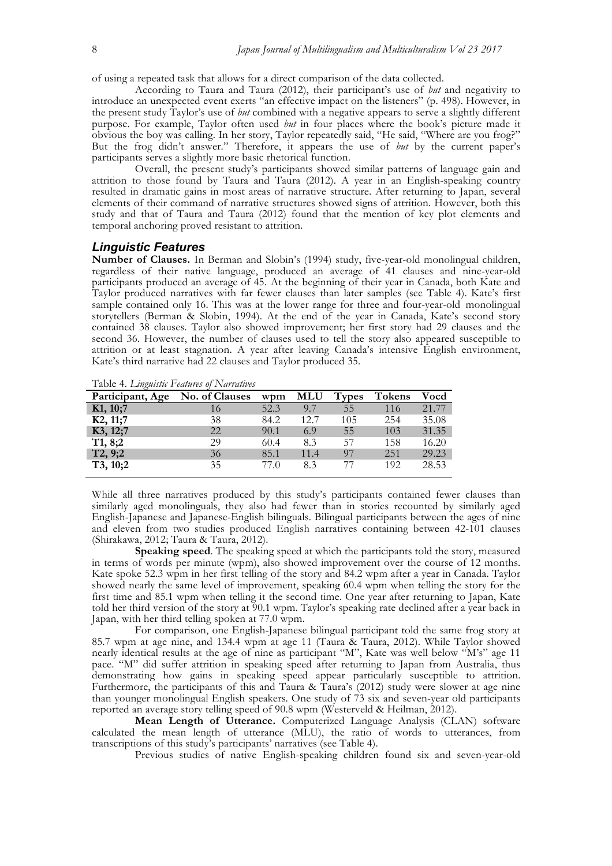of using a repeated task that allows for a direct comparison of the data collected.

According to Taura and Taura (2012), their participant's use of *but* and negativity to introduce an unexpected event exerts "an effective impact on the listeners" (p. 498). However, in the present study Taylor's use of *but* combined with a negative appears to serve a slightly different purpose. For example, Taylor often used *but* in four places where the book's picture made it obvious the boy was calling. In her story, Taylor repeatedly said, "He said, "Where are you frog?" But the frog didn't answer." Therefore, it appears the use of *but* by the current paper's participants serves a slightly more basic rhetorical function.

Overall, the present study's participants showed similar patterns of language gain and attrition to those found by Taura and Taura (2012). A year in an English-speaking country resulted in dramatic gains in most areas of narrative structure. After returning to Japan, several elements of their command of narrative structures showed signs of attrition. However, both this study and that of Taura and Taura (2012) found that the mention of key plot elements and temporal anchoring proved resistant to attrition.

## *Linguistic Features*

**Number of Clauses.** In Berman and Slobin's (1994) study, five-year-old monolingual children, regardless of their native language, produced an average of 41 clauses and nine-year-old participants produced an average of 45. At the beginning of their year in Canada, both Kate and Taylor produced narratives with far fewer clauses than later samples (see Table 4). Kate's first sample contained only 16. This was at the lower range for three and four-year-old monolingual storytellers (Berman & Slobin, 1994). At the end of the year in Canada, Kate's second story contained 38 clauses. Taylor also showed improvement; her first story had 29 clauses and the second 36. However, the number of clauses used to tell the story also appeared susceptible to attrition or at least stagnation. A year after leaving Canada's intensive English environment, Kate's third narrative had 22 clauses and Taylor produced 35.

Table 4. *Linguistic Features of Narratives*

| Participant, Age | <b>No. of Clauses</b> | wpm  | <b>MLU</b> | <b>Types</b> | <b>Tokens</b> | Vocd  |
|------------------|-----------------------|------|------------|--------------|---------------|-------|
| K1, 10;7         | 16                    | 52.3 | 9.7        | 55           | 116           | 21.77 |
| K2, 11;7         | 38                    | 84.2 | 12.7       | 105          | 254           | 35.08 |
| K3, 12;7         | 22                    | 90.1 | 6.9        | 55           | 103           | 31.35 |
| T1, 8;2          | 29                    | 60.4 | 8.3        | 57           | 158           | 16.20 |
| T2, 9;2          | 36                    | 85.1 | 11.4       | 97           | 251           | 29.23 |
| T3, 10;2         | 35                    | 77.0 | 8.3        | 77           | 192           | 28.53 |

While all three narratives produced by this study's participants contained fewer clauses than similarly aged monolinguals, they also had fewer than in stories recounted by similarly aged English-Japanese and Japanese-English bilinguals. Bilingual participants between the ages of nine and eleven from two studies produced English narratives containing between 42-101 clauses (Shirakawa, 2012; Taura & Taura, 2012).

**Speaking speed**. The speaking speed at which the participants told the story, measured in terms of words per minute (wpm), also showed improvement over the course of 12 months. Kate spoke 52.3 wpm in her first telling of the story and 84.2 wpm after a year in Canada. Taylor showed nearly the same level of improvement, speaking 60.4 wpm when telling the story for the first time and 85.1 wpm when telling it the second time. One year after returning to Japan, Kate told her third version of the story at 90.1 wpm. Taylor's speaking rate declined after a year back in Japan, with her third telling spoken at 77.0 wpm.

For comparison, one English-Japanese bilingual participant told the same frog story at 85.7 wpm at age nine, and 134.4 wpm at age 11 (Taura & Taura, 2012). While Taylor showed nearly identical results at the age of nine as participant "M", Kate was well below "M's" age 11 pace. "M" did suffer attrition in speaking speed after returning to Japan from Australia, thus demonstrating how gains in speaking speed appear particularly susceptible to attrition. Furthermore, the participants of this and Taura & Taura's (2012) study were slower at age nine than younger monolingual English speakers. One study of 73 six and seven-year old participants reported an average story telling speed of 90.8 wpm (Westerveld & Heilman, 2012).

**Mean Length of Utterance.** Computerized Language Analysis (CLAN) software calculated the mean length of utterance (MLU), the ratio of words to utterances, from transcriptions of this study's participants' narratives (see Table 4).

Previous studies of native English-speaking children found six and seven-year-old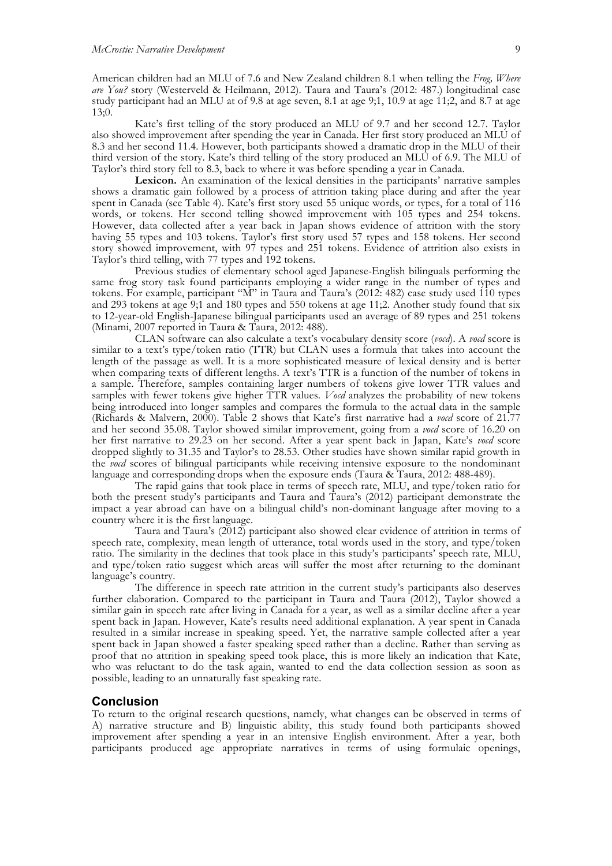American children had an MLU of 7.6 and New Zealand children 8.1 when telling the *Frog, Where are You?* story (Westerveld & Heilmann, 2012). Taura and Taura's (2012: 487.) longitudinal case study participant had an MLU at of 9.8 at age seven, 8.1 at age 9;1, 10.9 at age 11;2, and 8.7 at age 13;0.

Kate's first telling of the story produced an MLU of 9.7 and her second 12.7. Taylor also showed improvement after spending the year in Canada. Her first story produced an MLU of 8.3 and her second 11.4. However, both participants showed a dramatic drop in the MLU of their third version of the story. Kate's third telling of the story produced an MLU of 6.9. The MLU of Taylor's third story fell to 8.3, back to where it was before spending a year in Canada.

**Lexicon.** An examination of the lexical densities in the participants' narrative samples shows a dramatic gain followed by a process of attrition taking place during and after the year spent in Canada (see Table 4). Kate's first story used 55 unique words, or types, for a total of 116 words, or tokens. Her second telling showed improvement with 105 types and 254 tokens. However, data collected after a year back in Japan shows evidence of attrition with the story having 55 types and 103 tokens. Taylor's first story used 57 types and 158 tokens. Her second story showed improvement, with 97 types and 251 tokens. Evidence of attrition also exists in Taylor's third telling, with 77 types and 192 tokens.

Previous studies of elementary school aged Japanese-English bilinguals performing the same frog story task found participants employing a wider range in the number of types and tokens. For example, participant "M" in Taura and Taura's (2012: 482) case study used 110 types and 293 tokens at age 9;1 and 180 types and 550 tokens at age 11;2. Another study found that six to 12-year-old English-Japanese bilingual participants used an average of 89 types and 251 tokens (Minami, 2007 reported in Taura & Taura, 2012: 488).

CLAN software can also calculate a text's vocabulary density score (*vocd*). A *vocd* score is similar to a text's type/token ratio (TTR) but CLAN uses a formula that takes into account the length of the passage as well. It is a more sophisticated measure of lexical density and is better when comparing texts of different lengths. A text's TTR is a function of the number of tokens in a sample. Therefore, samples containing larger numbers of tokens give lower TTR values and samples with fewer tokens give higher TTR values. *Vocd* analyzes the probability of new tokens being introduced into longer samples and compares the formula to the actual data in the sample (Richards & Malvern, 2000). Table 2 shows that Kate's first narrative had a *vocd* score of 21.77 and her second 35.08. Taylor showed similar improvement, going from a *vocd* score of 16.20 on her first narrative to 29.23 on her second. After a year spent back in Japan, Kate's *vocd* score dropped slightly to 31.35 and Taylor's to 28.53. Other studies have shown similar rapid growth in the *vocd* scores of bilingual participants while receiving intensive exposure to the nondominant language and corresponding drops when the exposure ends (Taura & Taura, 2012: 488-489).

The rapid gains that took place in terms of speech rate, MLU, and type/token ratio for both the present study's participants and Taura and Taura's (2012) participant demonstrate the impact a year abroad can have on a bilingual child's non-dominant language after moving to a country where it is the first language.

Taura and Taura's (2012) participant also showed clear evidence of attrition in terms of speech rate, complexity, mean length of utterance, total words used in the story, and type/token ratio. The similarity in the declines that took place in this study's participants' speech rate, MLU, and type/token ratio suggest which areas will suffer the most after returning to the dominant language's country.

The difference in speech rate attrition in the current study's participants also deserves further elaboration. Compared to the participant in Taura and Taura (2012), Taylor showed a similar gain in speech rate after living in Canada for a year, as well as a similar decline after a year spent back in Japan. However, Kate's results need additional explanation. A year spent in Canada resulted in a similar increase in speaking speed. Yet, the narrative sample collected after a year spent back in Japan showed a faster speaking speed rather than a decline. Rather than serving as proof that no attrition in speaking speed took place, this is more likely an indication that Kate, who was reluctant to do the task again, wanted to end the data collection session as soon as possible, leading to an unnaturally fast speaking rate.

## **Conclusion**

To return to the original research questions, namely, what changes can be observed in terms of A) narrative structure and B) linguistic ability, this study found both participants showed improvement after spending a year in an intensive English environment. After a year, both participants produced age appropriate narratives in terms of using formulaic openings,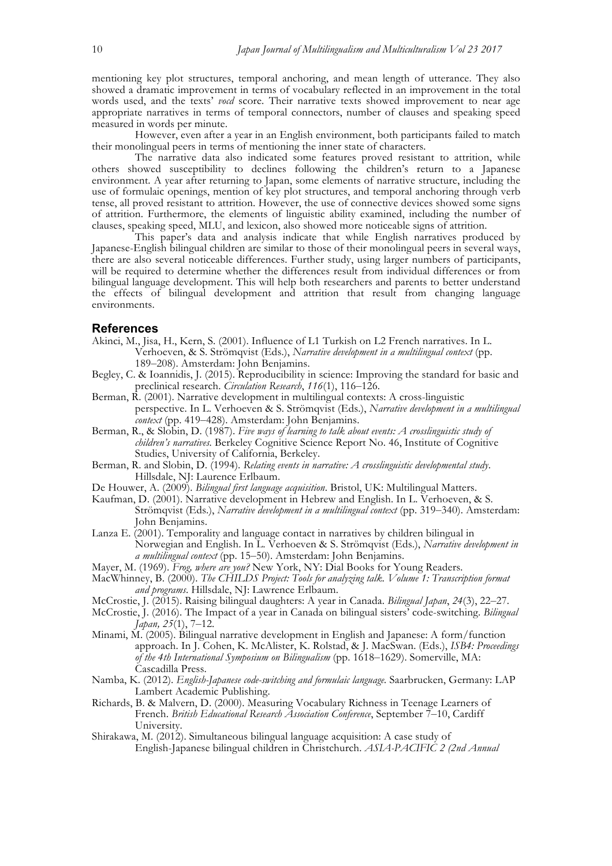mentioning key plot structures, temporal anchoring, and mean length of utterance. They also showed a dramatic improvement in terms of vocabulary reflected in an improvement in the total words used, and the texts' *vocd* score. Their narrative texts showed improvement to near age appropriate narratives in terms of temporal connectors, number of clauses and speaking speed measured in words per minute.

However, even after a year in an English environment, both participants failed to match their monolingual peers in terms of mentioning the inner state of characters.

The narrative data also indicated some features proved resistant to attrition, while others showed susceptibility to declines following the children's return to a Japanese environment. A year after returning to Japan, some elements of narrative structure, including the use of formulaic openings, mention of key plot structures, and temporal anchoring through verb tense, all proved resistant to attrition. However, the use of connective devices showed some signs of attrition. Furthermore, the elements of linguistic ability examined, including the number of clauses, speaking speed, MLU, and lexicon, also showed more noticeable signs of attrition.

This paper's data and analysis indicate that while English narratives produced by Japanese-English bilingual children are similar to those of their monolingual peers in several ways, there are also several noticeable differences. Further study, using larger numbers of participants, will be required to determine whether the differences result from individual differences or from bilingual language development. This will help both researchers and parents to better understand the effects of bilingual development and attrition that result from changing language environments.

#### **References**

- Akinci, M., Jisa, H., Kern, S. (2001). Influence of L1 Turkish on L2 French narratives. In L. Verhoeven, & S. Strömqvist (Eds.), *Narrative development in a multilingual context* (pp. 189–208). Amsterdam: John Benjamins.
- Begley, C. & Ioannidis, J. (2015). Reproducibility in science: Improving the standard for basic and preclinical research. *Circulation Research*, *116*(1), 116–126.
- Berman, R. (2001). Narrative development in multilingual contexts: A cross-linguistic perspective. In L. Verhoeven & S. Strömqvist (Eds.), *Narrative development in a multilingual context* (pp. 419–428). Amsterdam: John Benjamins.
- Berman, R., & Sl $\tilde{obj}$ n, D. (1987). *Five ways of learning to talk about events: A crosslinguistic study of children's narratives.* Berkeley Cognitive Science Report No. 46, Institute of Cognitive Studies, University of California, Berkeley.
- Berman, R. and Slobin, D. (1994). *Relating events in narrative: A crosslinguistic developmental study*. Hillsdale, NJ: Laurence Erlbaum.
- De Houwer, A. (2009). *Bilingual first language acquisition*. Bristol, UK: Multilingual Matters.
- Kaufman, D. (2001). Narrative development in Hebrew and English. In L. Verhoeven, & S. Strömqvist (Eds.), *Narrative development in a multilingual context* (pp. 319–340). Amsterdam: John Benjamins.
- Lanza E. (2001). Temporality and language contact in narratives by children bilingual in Norwegian and English. In L. Verhoeven & S. Strömqvist (Eds.), *Narrative development in a multilingual context* (pp. 15–50). Amsterdam: John Benjamins.
- Mayer, M. (1969). *Frog, where are you?* New York, NY: Dial Books for Young Readers.
- MacWhinney, B. (2000). *The CHILDS Project: Tools for analyzing talk. Volume 1: Transcription format and programs*. Hillsdale, NJ: Lawrence Erlbaum.
- McCrostie, J. (2015). Raising bilingual daughters: A year in Canada. *Bilingual Japan*, *24*(3), 22–27.
- McCrostie, J. (2016). The Impact of a year in Canada on bilingual sisters' code-switching. *Bilingual Japan, 25*(1), 7–12.
- Minami, M. (2005). Bilingual narrative development in English and Japanese: A form/function approach. In J. Cohen, K. McAlister, K. Rolstad, & J. MacSwan. (Eds.), *ISB4: Proceedings of the 4th International Symposium on Bilingualism* (pp. 1618–1629). Somerville, MA: Cascadilla Press.
- Namba, K. (2012). *English-Japanese code-switching and formulaic language.* Saarbrucken, Germany: LAP Lambert Academic Publishing.
- Richards, B. & Malvern, D. (2000). Measuring Vocabulary Richness in Teenage Learners of French. *British Educational Research Association Conference*, September 7–10, Cardiff University.
- Shirakawa, M. (2012). Simultaneous bilingual language acquisition: A case study of English-Japanese bilingual children in Christchurch. *ASIA-PACIFIC 2 (2nd Annual*